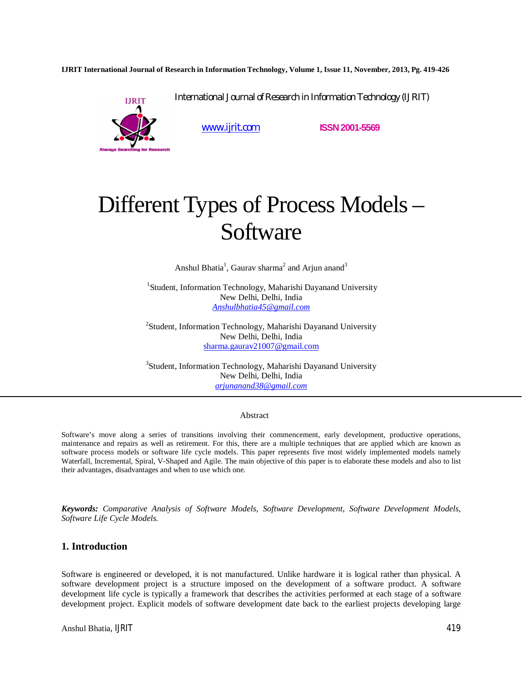**IJRIT International Journal of Research in Information Technology, Volume 1, Issue 11, November, 2013, Pg. 419-426**

International Journal of Research in Information Technology (IJRIT)



www.ijrit.com **ISSN2001-5569**

# Different Types of Process Models – Software

Anshul Bhatia<sup>1</sup>, Gaurav sharma<sup>2</sup> and Arjun anand<sup>3</sup>

<sup>1</sup>Student, Information Technology, Maharishi Dayanand University New Delhi, Delhi, India *Anshulbhatia45@gmail.com*

<sup>2</sup>Student, Information Technology, Maharishi Dayanand University New Delhi, Delhi, India sharma.gaurav21007@gmail.com

<sup>3</sup>Student, Information Technology, Maharishi Dayanand University New Delhi, Delhi, India *arjunanand38@gmail.com*

#### Abstract

Software's move along a series of transitions involving their commencement, early development, productive operations, maintenance and repairs as well as retirement. For this, there are a multiple techniques that are applied which are known as software process models or software life cycle models. This paper represents five most widely implemented models namely Waterfall, Incremental, Spiral, V-Shaped and Agile. The main objective of this paper is to elaborate these models and also to list their advantages, disadvantages and when to use which one.

*Keywords: Comparative Analysis of Software Models, Software Development, Software Development Models, Software Life Cycle Models.*

## **1. Introduction**

Software is engineered or developed, it is not manufactured. Unlike hardware it is logical rather than physical. A software development project is a structure imposed on the development of a software product. A software development life cycle is typically a framework that describes the activities performed at each stage of a software development project. Explicit models of software development date back to the earliest projects developing large

Anshul Bhatia, IJRIT 419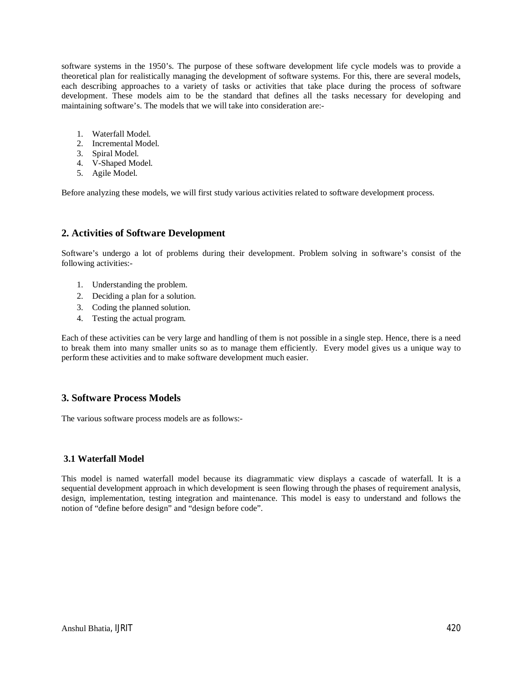software systems in the 1950's. The purpose of these software development life cycle models was to provide a theoretical plan for realistically managing the development of software systems. For this, there are several models, each describing approaches to a variety of tasks or activities that take place during the process of software development. These models aim to be the standard that defines all the tasks necessary for developing and maintaining software's. The models that we will take into consideration are:-

- 1. Waterfall Model.
- 2. Incremental Model.
- 3. Spiral Model.
- 4. V-Shaped Model.
- 5. Agile Model.

Before analyzing these models, we will first study various activities related to software development process.

## **2. Activities of Software Development**

Software's undergo a lot of problems during their development. Problem solving in software's consist of the following activities:-

- 1. Understanding the problem.
- 2. Deciding a plan for a solution.
- 3. Coding the planned solution.
- 4. Testing the actual program.

Each of these activities can be very large and handling of them is not possible in a single step. Hence, there is a need to break them into many smaller units so as to manage them efficiently. Every model gives us a unique way to perform these activities and to make software development much easier.

## **3. Software Process Models**

The various software process models are as follows:-

### **3.1 Waterfall Model**

This model is named waterfall model because its diagrammatic view displays a cascade of waterfall. It is a sequential development approach in which development is seen flowing through the phases of requirement analysis, design, implementation, testing integration and maintenance. This model is easy to understand and follows the notion of "define before design" and "design before code".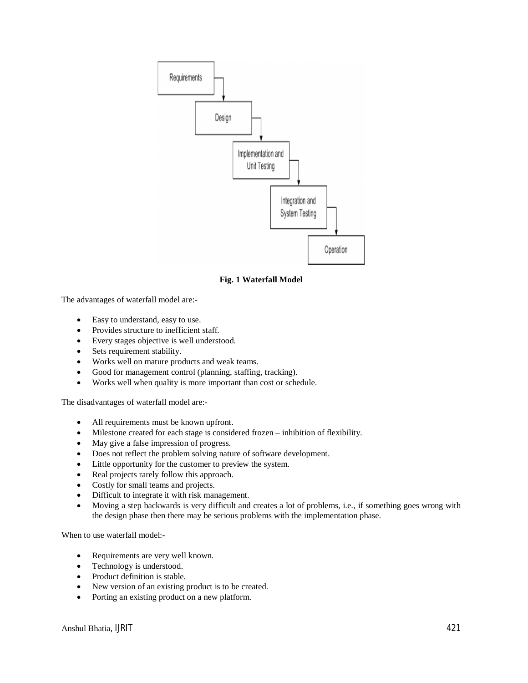

**Fig. 1 Waterfall Model**

The advantages of waterfall model are:-

- Easy to understand, easy to use.
- Provides structure to inefficient staff.
- Every stages objective is well understood.
- Sets requirement stability.
- Works well on mature products and weak teams.
- Good for management control (planning, staffing, tracking).
- Works well when quality is more important than cost or schedule.

The disadvantages of waterfall model are:-

- All requirements must be known upfront.
- Milestone created for each stage is considered frozen inhibition of flexibility.
- May give a false impression of progress.
- Does not reflect the problem solving nature of software development.
- Little opportunity for the customer to preview the system.
- Real projects rarely follow this approach.
- Costly for small teams and projects.
- Difficult to integrate it with risk management.
- Moving a step backwards is very difficult and creates a lot of problems, i.e., if something goes wrong with the design phase then there may be serious problems with the implementation phase.

When to use waterfall model:-

- Requirements are very well known.
- Technology is understood.
- Product definition is stable.
- New version of an existing product is to be created.
- Porting an existing product on a new platform.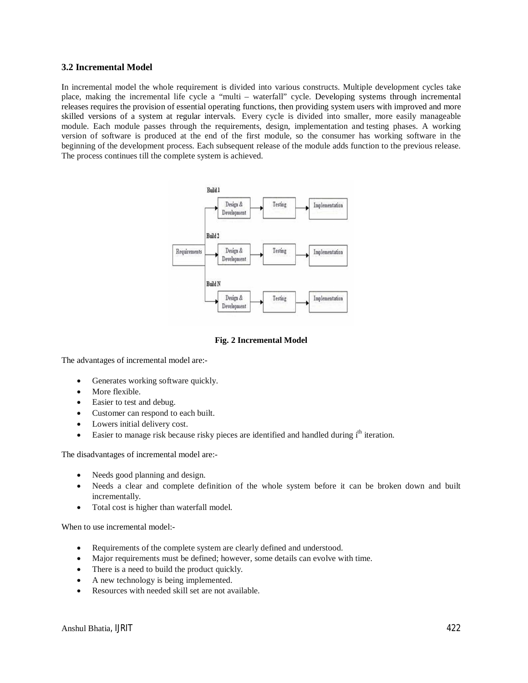### **3.2 Incremental Model**

In incremental model the whole requirement is divided into various constructs. Multiple development cycles take place, making the incremental life cycle a "multi – waterfall" cycle. Developing systems through incremental releases requires the provision of essential operating functions, then providing system users with improved and more skilled versions of a system at regular intervals. Every cycle is divided into smaller, more easily manageable module. Each module passes through the requirements, design, implementation and testing phases. A working version of software is produced at the end of the first module, so the consumer has working software in the beginning of the development process. Each subsequent release of the module adds function to the previous release. The process continues till the complete system is achieved.



#### **Fig. 2 Incremental Model**

The advantages of incremental model are:-

- Generates working software quickly.
- More flexible.
- Easier to test and debug.
- Customer can respond to each built.
- Lowers initial delivery cost.
- Easier to manage risk because risky pieces are identified and handled during i<sup>th</sup> iteration.

The disadvantages of incremental model are:-

- Needs good planning and design.
- Needs a clear and complete definition of the whole system before it can be broken down and built incrementally.
- Total cost is higher than waterfall model.

When to use incremental model:-

- Requirements of the complete system are clearly defined and understood.
- Major requirements must be defined; however, some details can evolve with time.
- There is a need to build the product quickly.
- A new technology is being implemented.
- Resources with needed skill set are not available.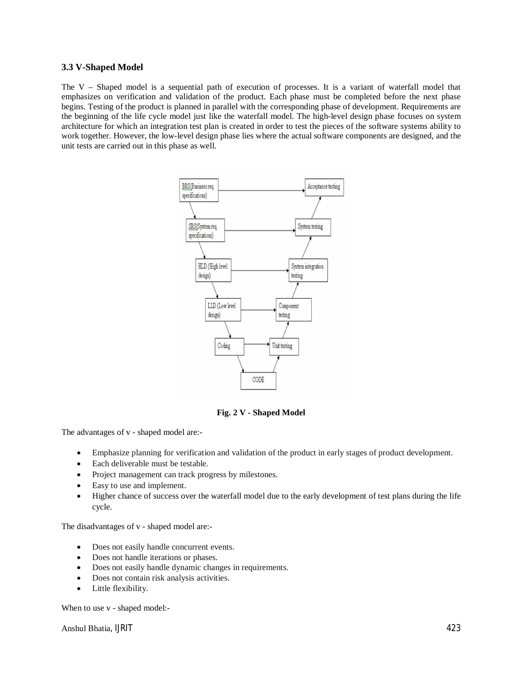#### **3.3 V-Shaped Model**

The V – Shaped model is a sequential path of execution of processes. It is a variant of waterfall model that emphasizes on verification and validation of the product. Each phase must be completed before the next phase begins. Testing of the product is planned in parallel with the corresponding phase of development. Requirements are the beginning of the life cycle model just like the waterfall model. The high-level design phase focuses on system architecture for which an integration test plan is created in order to test the pieces of the software systems ability to work together. However, the low-level design phase lies where the actual software components are designed, and the unit tests are carried out in this phase as well.



**Fig. 2 V - Shaped Model**

The advantages of v - shaped model are:-

- Emphasize planning for verification and validation of the product in early stages of product development.
- Each deliverable must be testable.
- Project management can track progress by milestones.
- Easy to use and implement.
- Higher chance of success over the waterfall model due to the early development of test plans during the life cycle.

The disadvantages of v - shaped model are:-

- Does not easily handle concurrent events.
- Does not handle iterations or phases.
- Does not easily handle dynamic changes in requirements.
- Does not contain risk analysis activities.
- Little flexibility.

When to use v - shaped model:-

Anshul Bhatia, IJRIT 423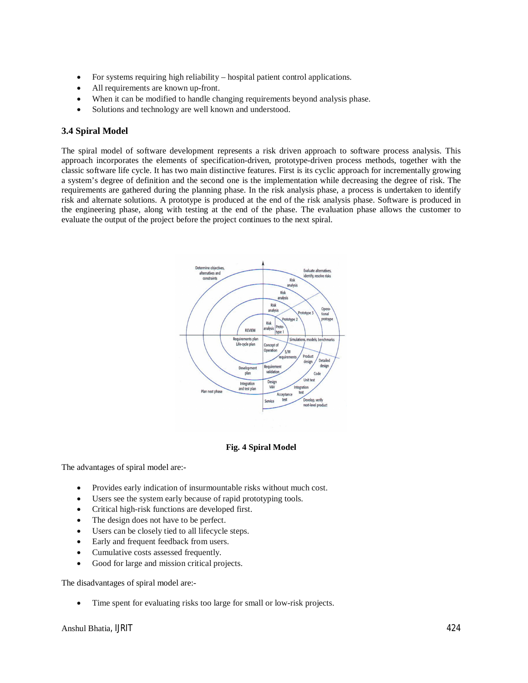- For systems requiring high reliability hospital patient control applications.
- All requirements are known up-front.
- When it can be modified to handle changing requirements beyond analysis phase.
- Solutions and technology are well known and understood.

## **3.4 Spiral Model**

The spiral model of software development represents a risk driven approach to software process analysis. This approach incorporates the elements of specification-driven, prototype-driven process methods, together with the classic software life cycle. It has two main distinctive features. First is its cyclic approach for incrementally growing a system's degree of definition and the second one is the implementation while decreasing the degree of risk. The requirements are gathered during the planning phase. In the risk analysis phase, a process is undertaken to identify risk and alternate solutions. A prototype is produced at the end of the risk analysis phase. Software is produced in the engineering phase, along with testing at the end of the phase. The evaluation phase allows the customer to evaluate the output of the project before the project continues to the next spiral.



#### **Fig. 4 Spiral Model**

The advantages of spiral model are:-

- Provides early indication of insurmountable risks without much cost.
- Users see the system early because of rapid prototyping tools.
- Critical high-risk functions are developed first.
- The design does not have to be perfect.
- Users can be closely tied to all lifecycle steps.
- Early and frequent feedback from users.
- Cumulative costs assessed frequently.
- Good for large and mission critical projects.

The disadvantages of spiral model are:-

Time spent for evaluating risks too large for small or low-risk projects.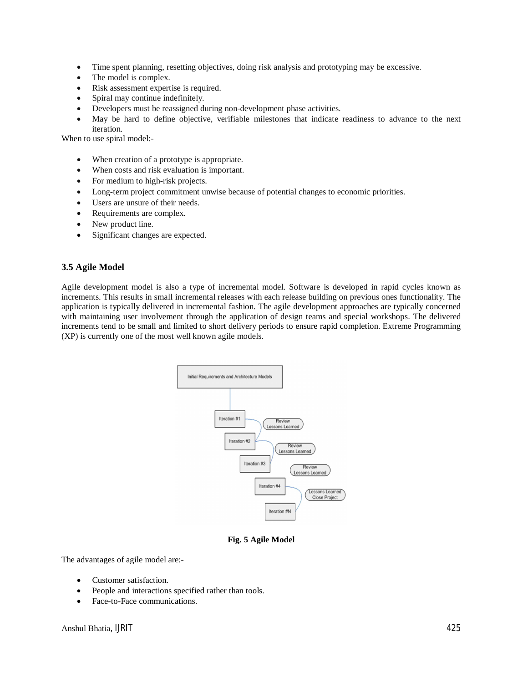- Time spent planning, resetting objectives, doing risk analysis and prototyping may be excessive.
- The model is complex.
- Risk assessment expertise is required.
- Spiral may continue indefinitely.
- Developers must be reassigned during non-development phase activities.
- May be hard to define objective, verifiable milestones that indicate readiness to advance to the next iteration.

When to use spiral model:-

- When creation of a prototype is appropriate.
- When costs and risk evaluation is important.
- For medium to high-risk projects.
- Long-term project commitment unwise because of potential changes to economic priorities.
- Users are unsure of their needs.
- Requirements are complex.
- New product line.
- Significant changes are expected.

### **3.5 Agile Model**

Agile development model is also a type of incremental model. Software is developed in rapid cycles known as increments. This results in small incremental releases with each release building on previous ones functionality. The application is typically delivered in incremental fashion. The agile development approaches are typically concerned with maintaining user involvement through the application of design teams and special workshops. The delivered increments tend to be small and limited to short delivery periods to ensure rapid completion. Extreme Programming (XP) is currently one of the most well known agile models.



**Fig. 5 Agile Model**

The advantages of agile model are:-

- Customer satisfaction.
- People and interactions specified rather than tools.
- Face-to-Face communications.